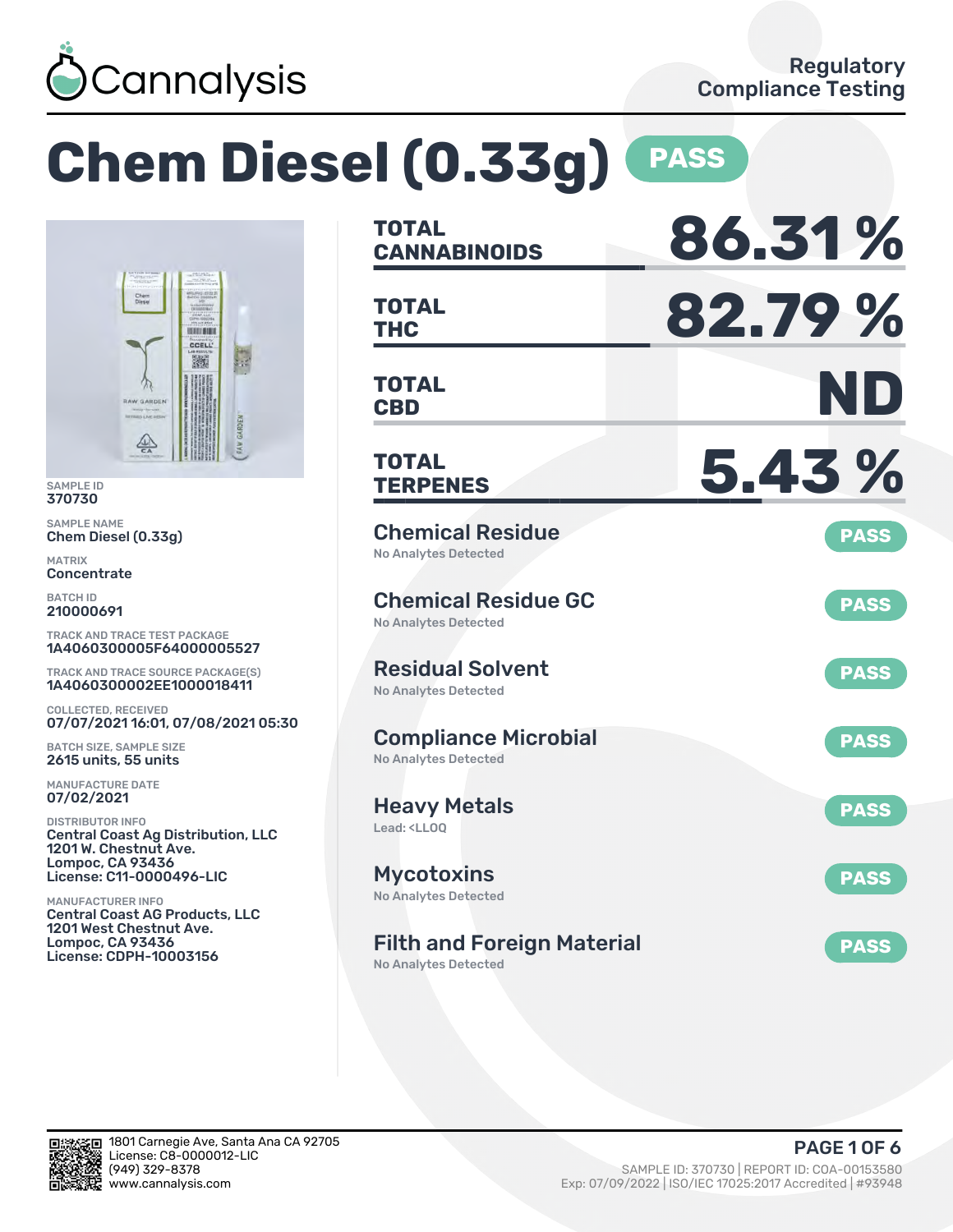

### **Chem Diesel (0.33g) PASS CANNABINOIDS 86.31 % TOTAL THC 82.79 % TOTAL TOTAL BIBLE** CCELL 臟 **CBD ND TOTAL TERPENES 5.43 % TOTAL** Chemical Residue **PASS** Chem Diesel (0.33g) No Analytes Detected Chemical Residue GC **PASS** No Analytes Detected TRACK AND TRACE TEST PACKAGE 1A4060300005F64000005527 Residual Solvent TRACK AND TRACE SOURCE PACKAGE(S) **PASS** 1A4060300002EE1000018411 No Analytes Detected 07/07/2021 16:01, 07/08/2021 05:30 Compliance Microbial **PASS** BATCH SIZE, SAMPLE SIZE 2615 units, 55 units No Analytes Detected Heavy Metals **PASS** Lead: <LLOQ Central Coast Ag Distribution, LLC 1201 W. Chestnut Ave. **Mycotoxins** License: C11-0000496-LIC **PASS** No Analytes Detected Central Coast AG Products, LLC 1201 West Chestnut Ave. Filth and Foreign Material **PASS** License: CDPH-10003156 No Analytes Detected



SAMPLE ID 370730 SAMPLE NAME

**RAW GARDEN** 

 $rac{\sqrt{4N}}{6A}$ 

MATRIX **Concentrate** BATCH ID 210000691

COLLECTED, RECEIVED

MANUFACTURE DATE 07/02/2021 DISTRIBUTOR INFO

Lompoc, CA 93436

MANUFACTURER INFO

Lompoc, CA 93436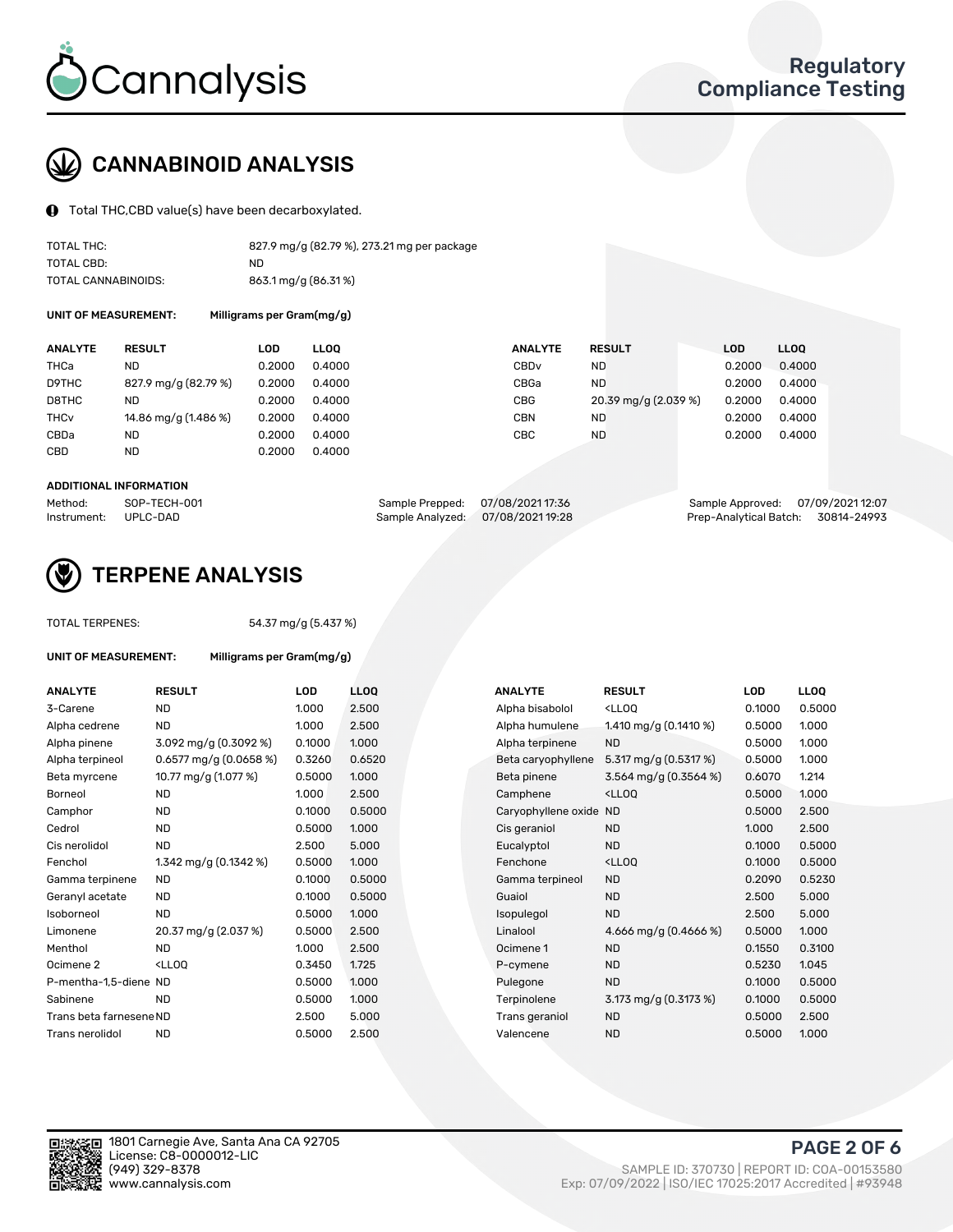

# CANNABINOID ANALYSIS

Total THC,CBD value(s) have been decarboxylated.

| TOTAL THC:          | 827.9 mg/g (82.79 %), 273.21 mg per package |
|---------------------|---------------------------------------------|
| TOTAL CBD:          | ND.                                         |
| TOTAL CANNABINOIDS: | 863.1 mg/g (86.31%)                         |

UNIT OF MEASUREMENT: Milligrams per Gram(mg/g)

| <b>ANALYTE</b>         | <b>RESULT</b>        | LOD    | <b>LLOO</b> | <b>ANALYTE</b>   | <b>RESULT</b>        | LOD    | LL <sub>00</sub> |
|------------------------|----------------------|--------|-------------|------------------|----------------------|--------|------------------|
| THCa                   | ND                   | 0.2000 | 0.4000      | CBD <sub>v</sub> | ND.                  | 0.2000 | 0.4000           |
| D9THC                  | 827.9 mg/g (82.79 %) | 0.2000 | 0.4000      | CBGa             | ND.                  | 0.2000 | 0.4000           |
| D8THC                  | ND                   | 0.2000 | 0.4000      | <b>CBG</b>       | 20.39 mg/g (2.039 %) | 0.2000 | 0.4000           |
| <b>THC<sub>v</sub></b> | 14.86 mg/g (1.486 %) | 0.2000 | 0.4000      | <b>CBN</b>       | ND                   | 0.2000 | 0.4000           |
| CBDa                   | ND                   | 0.2000 | 0.4000      | CBC              | <b>ND</b>            | 0.2000 | 0.4000           |
| CBD                    | ND                   | 0.2000 | 0.4000      |                  |                      |        |                  |
|                        |                      |        |             |                  |                      |        |                  |

#### ADDITIONAL INFORMATION

| Method:              | SOP-TECH-001 | Sample Prepped: 07/08/2021 17:36  | Sample Approved: 07/09/2021 12:07  |  |
|----------------------|--------------|-----------------------------------|------------------------------------|--|
| Instrument: UPLC-DAD |              | Sample Analyzed: 07/08/2021 19:28 | Prep-Analytical Batch: 30814-24993 |  |



## TERPENE ANALYSIS

| <b>TOTAL TERPENES:</b>  |                                                   | 54.37 mg/g (5.437 %) |            |  |  |  |  |
|-------------------------|---------------------------------------------------|----------------------|------------|--|--|--|--|
| UNIT OF MEASUREMENT:    | Milligrams per Gram(mg/g)                         |                      |            |  |  |  |  |
| <b>ANALYTE</b>          | <b>RESULT</b>                                     | <b>LOD</b>           | <b>LLO</b> |  |  |  |  |
| 3-Carene                | <b>ND</b>                                         | 1.000                | 2.50       |  |  |  |  |
| Alpha cedrene           | <b>ND</b>                                         | 1.000                | 2.50       |  |  |  |  |
| Alpha pinene            | $3.092$ mg/g (0.3092 %)                           | 0.1000               | 1.00       |  |  |  |  |
| Alpha terpineol         | $0.6577$ mg/g $(0.0658\%)$                        | 0.3260               | 0.65       |  |  |  |  |
| Beta myrcene            | 10.77 mg/g (1.077 %)                              | 0.5000               | 1.00       |  |  |  |  |
| Borneol                 | ND.                                               | 1.000                | 2.50       |  |  |  |  |
| Camphor                 | <b>ND</b>                                         | 0.1000               | 0.50       |  |  |  |  |
| Cedrol                  | <b>ND</b>                                         | 0.5000               | 1.00       |  |  |  |  |
| Cis nerolidol           | <b>ND</b>                                         | 2.500                | 5.00       |  |  |  |  |
| Fenchol                 | 1.342 mg/g $(0.1342 \%)$                          | 0.5000               | 1.00       |  |  |  |  |
| Gamma terpinene         | <b>ND</b>                                         | 0.1000               | 0.50       |  |  |  |  |
| Geranyl acetate         | <b>ND</b>                                         | 0.1000               | 0.50       |  |  |  |  |
| Isoborneol              | <b>ND</b>                                         | 0.5000               | 1.00       |  |  |  |  |
| Limonene                | 20.37 mg/g (2.037 %)                              | 0.5000               | 2.50       |  |  |  |  |
| Menthol                 | ND.                                               | 1.000                | 2.50       |  |  |  |  |
| Ocimene 2               | <lloo< td=""><td>0.3450</td><td>1.72</td></lloo<> | 0.3450               | 1.72       |  |  |  |  |
| P-mentha-1,5-diene ND   |                                                   | 0.5000               | 1.00       |  |  |  |  |
| Sabinene                | <b>ND</b>                                         | 0.5000               | 1.00       |  |  |  |  |
| Trans beta farnesene ND |                                                   | 2.500                | 5.00       |  |  |  |  |
| Trans nerolidol         | ND.                                               | 0.5000               | 2.50       |  |  |  |  |

| <b>ANALYTE</b>          | <b>RESULT</b>                                                                                                 | <b>LOD</b> | <b>LLOQ</b> | <b>ANALYTE</b>         | <b>RESULT</b>                                 | <b>LOD</b> |  |
|-------------------------|---------------------------------------------------------------------------------------------------------------|------------|-------------|------------------------|-----------------------------------------------|------------|--|
| 3-Carene                | <b>ND</b>                                                                                                     | 1.000      | 2.500       | Alpha bisabolol        | <lloq< td=""><td>0.1000</td><td></td></lloq<> | 0.1000     |  |
| Alpha cedrene           | <b>ND</b>                                                                                                     | 1.000      | 2.500       | Alpha humulene         | 1.410 mg/g (0.1410 %)                         | 0.5000     |  |
| Alpha pinene            | 3.092 mg/g (0.3092 %)                                                                                         | 0.1000     | 1.000       | Alpha terpinene        | <b>ND</b>                                     | 0.5000     |  |
| Alpha terpineol         | $0.6577$ mg/g $(0.0658%)$                                                                                     | 0.3260     | 0.6520      | Beta caryophyllene     | 5.317 mg/g $(0.5317%)$                        | 0.5000     |  |
| Beta myrcene            | 10.77 mg/g (1.077 %)                                                                                          | 0.5000     | 1.000       | Beta pinene            | 3.564 mg/g (0.3564 %)                         | 0.6070     |  |
| Borneol                 | <b>ND</b>                                                                                                     | 1.000      | 2.500       | Camphene               | <lloq< td=""><td>0.5000</td><td></td></lloq<> | 0.5000     |  |
| Camphor                 | <b>ND</b>                                                                                                     | 0.1000     | 0.5000      | Caryophyllene oxide ND |                                               | 0.5000     |  |
| Cedrol                  | ND                                                                                                            | 0.5000     | 1.000       | Cis geraniol           | <b>ND</b>                                     | 1.000      |  |
| Cis nerolidol           | <b>ND</b>                                                                                                     | 2.500      | 5.000       | Eucalyptol             | <b>ND</b>                                     | 0.1000     |  |
| Fenchol                 | 1.342 mg/g $(0.1342 \%)$                                                                                      | 0.5000     | 1.000       | Fenchone               | <lloq< td=""><td>0.1000</td><td></td></lloq<> | 0.1000     |  |
| Gamma terpinene         | ND.                                                                                                           | 0.1000     | 0.5000      | Gamma terpineol        | <b>ND</b>                                     | 0.2090     |  |
| Geranyl acetate         | ND.                                                                                                           | 0.1000     | 0.5000      | Guaiol                 | <b>ND</b>                                     | 2.500      |  |
| Isoborneol              | <b>ND</b>                                                                                                     | 0.5000     | 1.000       | Isopulegol             | <b>ND</b>                                     | 2.500      |  |
| Limonene                | 20.37 mg/g (2.037 %)                                                                                          | 0.5000     | 2.500       | Linalool               | 4.666 mg/g $(0.4666\%)$                       | 0.5000     |  |
| Menthol                 | <b>ND</b>                                                                                                     | 1.000      | 2.500       | Ocimene 1              | <b>ND</b>                                     | 0.1550     |  |
| Ocimene 2               | <lloq< td=""><td>0.3450</td><td>1.725</td><td>P-cymene</td><td><b>ND</b></td><td>0.5230</td><td></td></lloq<> | 0.3450     | 1.725       | P-cymene               | <b>ND</b>                                     | 0.5230     |  |
| P-mentha-1,5-diene ND   |                                                                                                               | 0.5000     | 1.000       | Pulegone               | <b>ND</b>                                     | 0.1000     |  |
| Sabinene                | <b>ND</b>                                                                                                     | 0.5000     | 1.000       | Terpinolene            | 3.173 mg/g (0.3173 %)                         | 0.1000     |  |
| Trans beta farnesene ND |                                                                                                               | 2.500      | 5.000       | Trans geraniol         | <b>ND</b>                                     | 0.5000     |  |
| Trans nerolidol         | <b>ND</b>                                                                                                     | 0.5000     | 2.500       | Valencene              | <b>ND</b>                                     | 0.5000     |  |
|                         |                                                                                                               |            |             |                        |                                               |            |  |

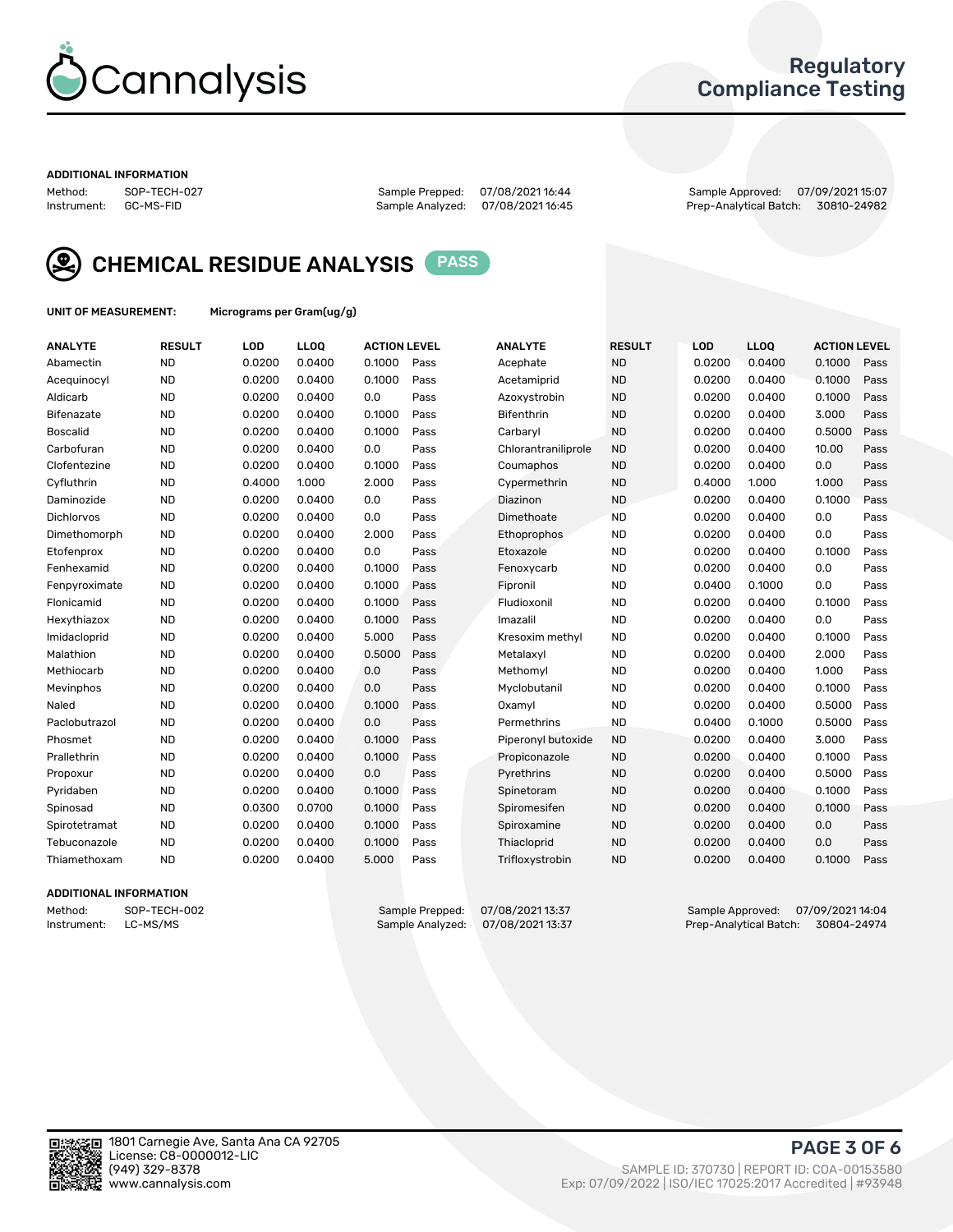

### Regulatory Compliance Testing

#### ADDITIONAL INFORMATION

Method: SOP-TECH-027 Sample Prepped: 07/08/2021 16:44 Sample Approved: 07/09/2021 15:07 Prep-Analytical Batch: 30810-24982



CHEMICAL RESIDUE ANALYSIS PASS

UNIT OF MEASUREMENT: Micrograms per Gram(ug/g)

| <b>ANALYTE</b>    | <b>RESULT</b> | LOD    | LL <sub>OO</sub> | <b>ACTION LEVEL</b> |      | <b>ANALYTE</b>      | <b>RESULT</b> | LOD    | <b>LLOO</b> | <b>ACTION LEVEL</b> |      |
|-------------------|---------------|--------|------------------|---------------------|------|---------------------|---------------|--------|-------------|---------------------|------|
| Abamectin         | <b>ND</b>     | 0.0200 | 0.0400           | 0.1000              | Pass | Acephate            | <b>ND</b>     | 0.0200 | 0.0400      | 0.1000              | Pass |
| Acequinocyl       | <b>ND</b>     | 0.0200 | 0.0400           | 0.1000              | Pass | Acetamiprid         | <b>ND</b>     | 0.0200 | 0.0400      | 0.1000              | Pass |
| Aldicarb          | <b>ND</b>     | 0.0200 | 0.0400           | 0.0                 | Pass | Azoxystrobin        | <b>ND</b>     | 0.0200 | 0.0400      | 0.1000              | Pass |
| Bifenazate        | <b>ND</b>     | 0.0200 | 0.0400           | 0.1000              | Pass | <b>Bifenthrin</b>   | <b>ND</b>     | 0.0200 | 0.0400      | 3.000               | Pass |
| <b>Boscalid</b>   | <b>ND</b>     | 0.0200 | 0.0400           | 0.1000              | Pass | Carbaryl            | <b>ND</b>     | 0.0200 | 0.0400      | 0.5000              | Pass |
| Carbofuran        | <b>ND</b>     | 0.0200 | 0.0400           | 0.0                 | Pass | Chlorantraniliprole | <b>ND</b>     | 0.0200 | 0.0400      | 10.00               | Pass |
| Clofentezine      | <b>ND</b>     | 0.0200 | 0.0400           | 0.1000              | Pass | Coumaphos           | <b>ND</b>     | 0.0200 | 0.0400      | 0.0                 | Pass |
| Cyfluthrin        | <b>ND</b>     | 0.4000 | 1.000            | 2.000               | Pass | Cypermethrin        | <b>ND</b>     | 0.4000 | 1.000       | 1.000               | Pass |
| Daminozide        | <b>ND</b>     | 0.0200 | 0.0400           | 0.0                 | Pass | Diazinon            | <b>ND</b>     | 0.0200 | 0.0400      | 0.1000              | Pass |
| <b>Dichlorvos</b> | <b>ND</b>     | 0.0200 | 0.0400           | 0.0                 | Pass | Dimethoate          | <b>ND</b>     | 0.0200 | 0.0400      | 0.0                 | Pass |
| Dimethomorph      | <b>ND</b>     | 0.0200 | 0.0400           | 2.000               | Pass | Ethoprophos         | <b>ND</b>     | 0.0200 | 0.0400      | 0.0                 | Pass |
| Etofenprox        | <b>ND</b>     | 0.0200 | 0.0400           | 0.0                 | Pass | Etoxazole           | <b>ND</b>     | 0.0200 | 0.0400      | 0.1000              | Pass |
| Fenhexamid        | <b>ND</b>     | 0.0200 | 0.0400           | 0.1000              | Pass | Fenoxycarb          | <b>ND</b>     | 0.0200 | 0.0400      | 0.0                 | Pass |
| Fenpyroximate     | <b>ND</b>     | 0.0200 | 0.0400           | 0.1000              | Pass | Fipronil            | <b>ND</b>     | 0.0400 | 0.1000      | 0.0                 | Pass |
| Flonicamid        | <b>ND</b>     | 0.0200 | 0.0400           | 0.1000              | Pass | Fludioxonil         | <b>ND</b>     | 0.0200 | 0.0400      | 0.1000              | Pass |
| Hexythiazox       | <b>ND</b>     | 0.0200 | 0.0400           | 0.1000              | Pass | Imazalil            | <b>ND</b>     | 0.0200 | 0.0400      | 0.0                 | Pass |
| Imidacloprid      | <b>ND</b>     | 0.0200 | 0.0400           | 5.000               | Pass | Kresoxim methyl     | <b>ND</b>     | 0.0200 | 0.0400      | 0.1000              | Pass |
| Malathion         | <b>ND</b>     | 0.0200 | 0.0400           | 0.5000              | Pass | Metalaxyl           | <b>ND</b>     | 0.0200 | 0.0400      | 2.000               | Pass |
| Methiocarb        | <b>ND</b>     | 0.0200 | 0.0400           | 0.0                 | Pass | Methomyl            | <b>ND</b>     | 0.0200 | 0.0400      | 1.000               | Pass |
| Mevinphos         | <b>ND</b>     | 0.0200 | 0.0400           | 0.0                 | Pass | Myclobutanil        | <b>ND</b>     | 0.0200 | 0.0400      | 0.1000              | Pass |
| Naled             | <b>ND</b>     | 0.0200 | 0.0400           | 0.1000              | Pass | Oxamyl              | <b>ND</b>     | 0.0200 | 0.0400      | 0.5000              | Pass |
| Paclobutrazol     | <b>ND</b>     | 0.0200 | 0.0400           | 0.0                 | Pass | Permethrins         | <b>ND</b>     | 0.0400 | 0.1000      | 0.5000              | Pass |
| Phosmet           | <b>ND</b>     | 0.0200 | 0.0400           | 0.1000              | Pass | Piperonyl butoxide  | <b>ND</b>     | 0.0200 | 0.0400      | 3.000               | Pass |
| Prallethrin       | <b>ND</b>     | 0.0200 | 0.0400           | 0.1000              | Pass | Propiconazole       | <b>ND</b>     | 0.0200 | 0.0400      | 0.1000              | Pass |
| Propoxur          | <b>ND</b>     | 0.0200 | 0.0400           | 0.0                 | Pass | Pyrethrins          | <b>ND</b>     | 0.0200 | 0.0400      | 0.5000              | Pass |
| Pyridaben         | <b>ND</b>     | 0.0200 | 0.0400           | 0.1000              | Pass | Spinetoram          | <b>ND</b>     | 0.0200 | 0.0400      | 0.1000              | Pass |
| Spinosad          | <b>ND</b>     | 0.0300 | 0.0700           | 0.1000              | Pass | Spiromesifen        | <b>ND</b>     | 0.0200 | 0.0400      | 0.1000              | Pass |
| Spirotetramat     | <b>ND</b>     | 0.0200 | 0.0400           | 0.1000              | Pass | Spiroxamine         | <b>ND</b>     | 0.0200 | 0.0400      | 0.0                 | Pass |
| Tebuconazole      | <b>ND</b>     | 0.0200 | 0.0400           | 0.1000              | Pass | Thiacloprid         | <b>ND</b>     | 0.0200 | 0.0400      | 0.0                 | Pass |
| Thiamethoxam      | <b>ND</b>     | 0.0200 | 0.0400           | 5.000               | Pass | Trifloxystrobin     | <b>ND</b>     | 0.0200 | 0.0400      | 0.1000              | Pass |

### ADDITIONAL INFORMATION

Method: SOP-TECH-002 Sample Prepped: 07/08/2021 13:37 Sample Approved: 07/09/2021 14:04<br>Instrument: LC-MS/MS Sample Analyzed: 07/08/2021 13:37 Prep-Analytical Batch: 30804-24974 Prep-Analytical Batch: 30804-24974

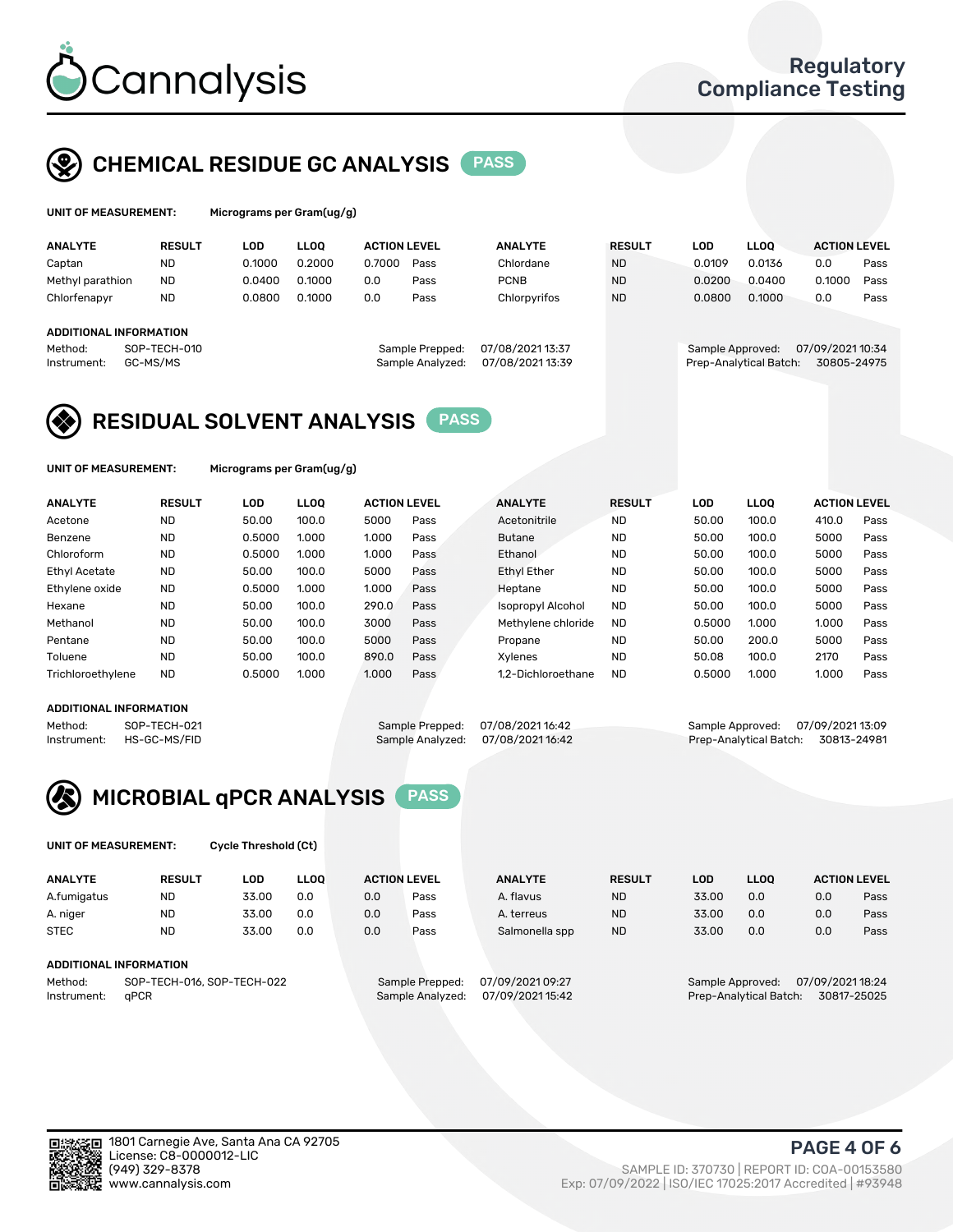

## CHEMICAL RESIDUE GC ANALYSIS PASS

| UNIT OF MEASUREMENT: | Micrograms |
|----------------------|------------|
|                      |            |

per Gram(ug/g)

| <b>ANALYTE</b>                | <b>RESULT</b> | <b>LOD</b> | <b>LLOO</b> | <b>ACTION LEVEL</b> |                  | <b>ANALYTE</b>   | <b>RESULT</b> | LOD              | <b>LLOO</b>            | <b>ACTION LEVEL</b> |      |
|-------------------------------|---------------|------------|-------------|---------------------|------------------|------------------|---------------|------------------|------------------------|---------------------|------|
| Captan                        | <b>ND</b>     | 0.1000     | 0.2000      | 0.7000              | Pass             | Chlordane        | <b>ND</b>     | 0.0109           | 0.0136                 | 0.0                 | Pass |
| Methyl parathion              | <b>ND</b>     | 0.0400     | 0.1000      | 0.0                 | Pass             | <b>PCNB</b>      | <b>ND</b>     | 0.0200           | 0.0400                 | 0.1000              | Pass |
| Chlorfenapyr                  | <b>ND</b>     | 0.0800     | 0.1000      | 0.0                 | Pass             | Chlorpyrifos     | <b>ND</b>     | 0.0800           | 0.1000                 | 0.0                 | Pass |
|                               |               |            |             |                     |                  |                  |               |                  |                        |                     |      |
| <b>ADDITIONAL INFORMATION</b> |               |            |             |                     |                  |                  |               |                  |                        |                     |      |
| Method:                       | SOP-TECH-010  |            |             |                     | Sample Prepped:  | 07/08/2021 13:37 |               | Sample Approved: |                        | 07/09/2021 10:34    |      |
| Instrument:                   | GC-MS/MS      |            |             |                     | Sample Analyzed: | 07/08/2021 13:39 |               |                  | Prep-Analytical Batch: | 30805-24975         |      |
|                               |               |            |             |                     |                  |                  |               |                  |                        |                     |      |

## RESIDUAL SOLVENT ANALYSIS PASS

UNIT OF MEASUREMENT: Micrograms per Gram(ug/g)

| <b>ANALYTE</b>       | <b>RESULT</b> | LOD    | <b>LLOO</b> | <b>ACTION LEVEL</b> |      | <b>ANALYTE</b>           | <b>RESULT</b> | LOD    | LLOO  | <b>ACTION LEVEL</b> |      |
|----------------------|---------------|--------|-------------|---------------------|------|--------------------------|---------------|--------|-------|---------------------|------|
| Acetone              | <b>ND</b>     | 50.00  | 100.0       | 5000                | Pass | Acetonitrile             | <b>ND</b>     | 50.00  | 100.0 | 410.0               | Pass |
| Benzene              | <b>ND</b>     | 0.5000 | 1.000       | 1.000               | Pass | <b>Butane</b>            | <b>ND</b>     | 50.00  | 100.0 | 5000                | Pass |
| Chloroform           | <b>ND</b>     | 0.5000 | 1.000       | 1.000               | Pass | Ethanol                  | <b>ND</b>     | 50.00  | 100.0 | 5000                | Pass |
| <b>Ethyl Acetate</b> | <b>ND</b>     | 50.00  | 100.0       | 5000                | Pass | <b>Ethyl Ether</b>       | <b>ND</b>     | 50.00  | 100.0 | 5000                | Pass |
| Ethylene oxide       | <b>ND</b>     | 0.5000 | 1.000       | 1.000               | Pass | Heptane                  | <b>ND</b>     | 50.00  | 100.0 | 5000                | Pass |
| Hexane               | <b>ND</b>     | 50.00  | 100.0       | 290.0               | Pass | <b>Isopropyl Alcohol</b> | <b>ND</b>     | 50.00  | 100.0 | 5000                | Pass |
| Methanol             | <b>ND</b>     | 50.00  | 100.0       | 3000                | Pass | Methylene chloride       | <b>ND</b>     | 0.5000 | 1.000 | 1.000               | Pass |
| Pentane              | <b>ND</b>     | 50.00  | 100.0       | 5000                | Pass | Propane                  | <b>ND</b>     | 50.00  | 200.0 | 5000                | Pass |
| Toluene              | <b>ND</b>     | 50.00  | 100.0       | 890.0               | Pass | Xvlenes                  | <b>ND</b>     | 50.08  | 100.0 | 2170                | Pass |
| Trichloroethylene    | <b>ND</b>     | 0.5000 | 1.000       | 1.000               | Pass | 1.2-Dichloroethane       | <b>ND</b>     | 0.5000 | 1.000 | 1.000               | Pass |

#### ADDITIONAL INFORMATION

Method: SOP-TECH-021 Sample Prepped: 07/08/2021 16:42 Sample Approved: 07/09/2021 13:09<br>Sample Analyzed: 07/08/2021 16:42 Prep-Analytical Batch: 30813-24981 Prep-Analytical Batch: 30813-24981



UNIT OF MEASUREMENT: Cycle Threshold (Ct)

| <b>ANALYTE</b>                        | <b>RESULT</b>          | LOD   | <b>LLOO</b> |                 | <b>ACTION LEVEL</b> | <b>ANALYTE</b> | <b>RESULT</b> | LOD              | <b>LLOO</b>      |     | <b>ACTION LEVEL</b> |
|---------------------------------------|------------------------|-------|-------------|-----------------|---------------------|----------------|---------------|------------------|------------------|-----|---------------------|
| A.fumigatus                           | <b>ND</b>              | 33.00 | 0.0         | 0.0             | Pass                | A. flavus      | <b>ND</b>     | 33.00            | 0.0              | 0.0 | Pass                |
| A. niger                              | <b>ND</b>              | 33.00 | 0.0         | 0.0             | Pass                | A. terreus     | <b>ND</b>     | 33.00            | 0.0              | 0.0 | Pass                |
| <b>STEC</b>                           | <b>ND</b>              | 33.00 | 0.0         | 0.0             | Pass                | Salmonella spp | <b>ND</b>     | 33.00            | 0.0              | 0.0 | Pass                |
|                                       | ADDITIONAL INFORMATION |       |             |                 |                     |                |               |                  |                  |     |                     |
| SOP-TECH-016, SOP-TECH-022<br>Method: |                        |       |             | Sample Prepped: | 07/09/2021 09:27    |                |               | Sample Approved: | 07/09/2021 18:24 |     |                     |

Instrument: qPCR Sample Analyzed: 07/09/2021 15:42 Prep-Analytical Batch: 30817-25025

PAGE 4 OF 6

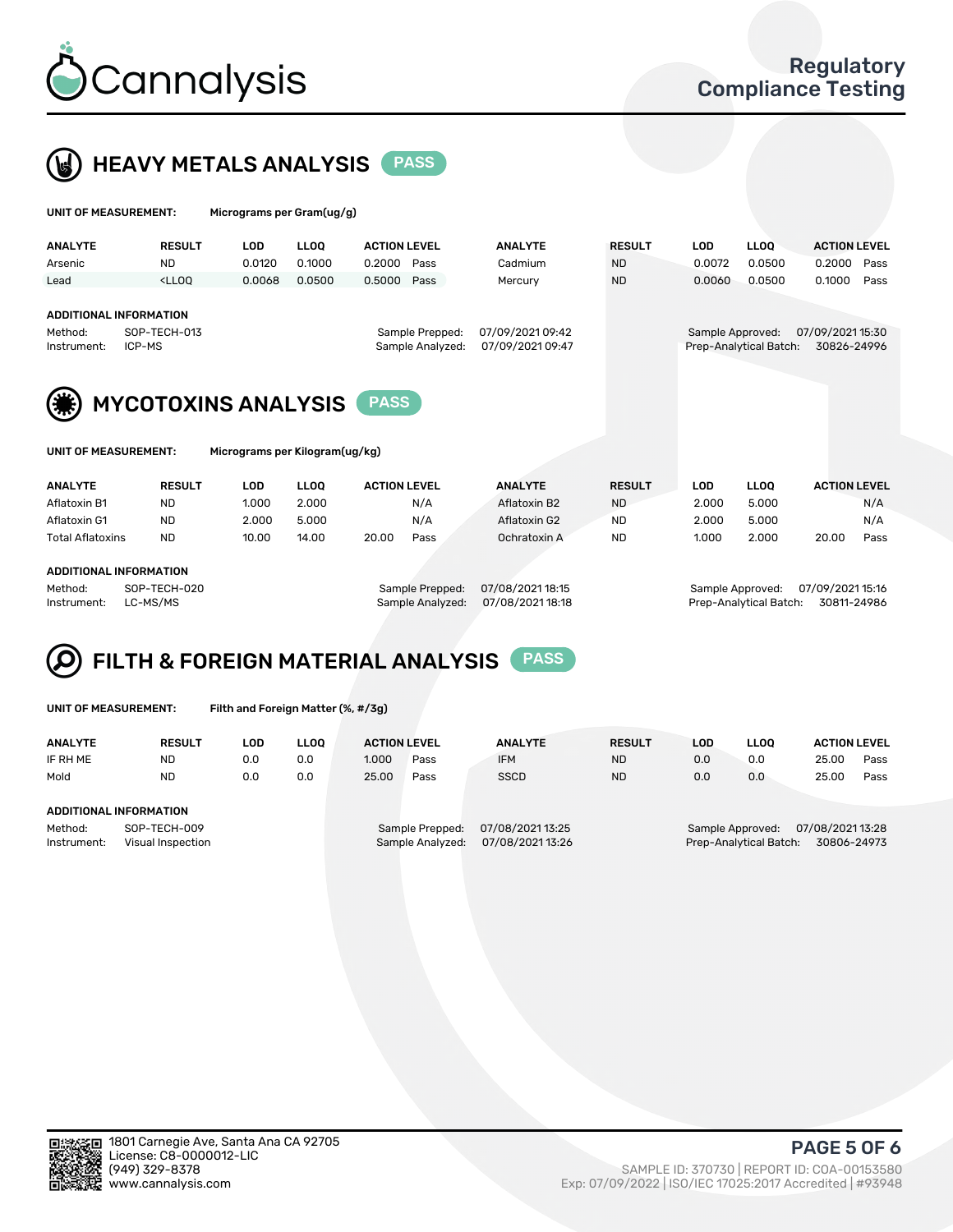



| UNIT OF MEASUREMENT:   |                                                                                                                                                                                      | Micrograms per Gram(ug/g) |             |                     |      |                                      |               |  |                  |                        |                                 |      |
|------------------------|--------------------------------------------------------------------------------------------------------------------------------------------------------------------------------------|---------------------------|-------------|---------------------|------|--------------------------------------|---------------|--|------------------|------------------------|---------------------------------|------|
| <b>ANALYTE</b>         | <b>RESULT</b>                                                                                                                                                                        | <b>LOD</b>                | <b>LLOO</b> | <b>ACTION LEVEL</b> |      | <b>ANALYTE</b>                       | <b>RESULT</b> |  | <b>LOD</b>       | LLOO <sup>1</sup>      | <b>ACTION LEVEL</b>             |      |
| Arsenic                | <b>ND</b>                                                                                                                                                                            | 0.0120                    | 0.1000      | 0.2000              | Pass | Cadmium                              | <b>ND</b>     |  | 0.0072           | 0.0500                 | 0.2000                          | Pass |
| Lead                   | <lloq< td=""><td>0.0068</td><td>0.0500</td><td>0.5000</td><td>Pass</td><td>Mercury</td><td><b>ND</b></td><td></td><td>0.0060</td><td>0.0500</td><td>0.1000</td><td>Pass</td></lloq<> | 0.0068                    | 0.0500      | 0.5000              | Pass | Mercury                              | <b>ND</b>     |  | 0.0060           | 0.0500                 | 0.1000                          | Pass |
| Method:<br>Instrument: | <b>ADDITIONAL INFORMATION</b><br>SOP-TECH-013<br>Sample Prepped:<br>ICP-MS<br>Sample Analyzed:                                                                                       |                           |             |                     |      | 07/09/2021 09:42<br>07/09/2021 09:47 |               |  | Sample Approved: | Prep-Analytical Batch: | 07/09/2021 15:30<br>30826-24996 |      |
|                        | <b>MYCOTOXINS ANALYSIS</b><br><b>PASS</b>                                                                                                                                            |                           |             |                     |      |                                      |               |  |                  |                        |                                 |      |
| UNIT OF MEASUREMENT:   | Micrograms per Kilogram(ug/kg)                                                                                                                                                       |                           |             |                     |      |                                      |               |  |                  |                        |                                 |      |
| <b>ANALYTE</b>         | <b>RESULT</b>                                                                                                                                                                        | <b>LOD</b>                | <b>LLOO</b> | <b>ACTION LEVEL</b> |      | <b>ANALYTE</b>                       | <b>RESULT</b> |  | <b>LOD</b>       | <b>LLOQ</b>            | <b>ACTION LEVEL</b>             |      |
| Aflatoxin B1           | <b>ND</b>                                                                                                                                                                            | 1.000                     | 2.000       |                     | N/A  | Aflatoxin B2                         | <b>ND</b>     |  | 2.000            | 5.000                  |                                 | N/A  |
| Aflatoxin G1           | <b>ND</b>                                                                                                                                                                            | 2.000                     | 5.000       |                     | N/A  | Aflatoxin G2                         | <b>ND</b>     |  | 2.000            | 5.000                  |                                 | N/A  |

Total Aflatoxins ND 10.00 14.00 20.00 Pass Ochratoxin A ND 1.000 2.000 20.00 Pass

#### ADDITIONAL INFORMATION

Method: SOP-TECH-020 Sample Prepped: 07/08/2021 18:15 Sample Approved: 07/09/2021 15:16 Instrument: LC-MS/MS Sample Analyzed: 07/08/2021 18:18 Prep-Analytical Batch: 30811-24986

# FILTH & FOREIGN MATERIAL ANALYSIS PASS

UNIT OF MEASUREMENT: Filth and Foreign Matter (%, #/3g)

| <b>ANALYTE</b>                                              | <b>RESULT</b> | LOD | <b>LLOO</b> | <b>ACTION LEVEL</b>                 |                                      | <b>ANALYTE</b> | <b>RESULT</b> | LOD                                        | <b>LLOO</b>                     | <b>ACTION LEVEL</b> |      |
|-------------------------------------------------------------|---------------|-----|-------------|-------------------------------------|--------------------------------------|----------------|---------------|--------------------------------------------|---------------------------------|---------------------|------|
| IF RH ME                                                    | <b>ND</b>     | 0.0 | 0.0         | 1.000                               | Pass                                 | <b>IFM</b>     | <b>ND</b>     | 0.0                                        | 0.0                             | 25.00               | Pass |
| Mold                                                        | <b>ND</b>     | 0.0 | 0.0         | 25.00                               | Pass                                 | <b>SSCD</b>    | <b>ND</b>     | 0.0                                        | 0.0                             | 25.00               | Pass |
| ADDITIONAL INFORMATION                                      |               |     |             |                                     |                                      |                |               |                                            |                                 |                     |      |
| SOP-TECH-009<br>Method:<br>Instrument:<br>Visual Inspection |               |     |             | Sample Prepped:<br>Sample Analyzed: | 07/08/2021 13:25<br>07/08/2021 13:26 |                |               | Sample Approved:<br>Prep-Analytical Batch: | 07/08/2021 13:28<br>30806-24973 |                     |      |



PAGE 5 OF 6